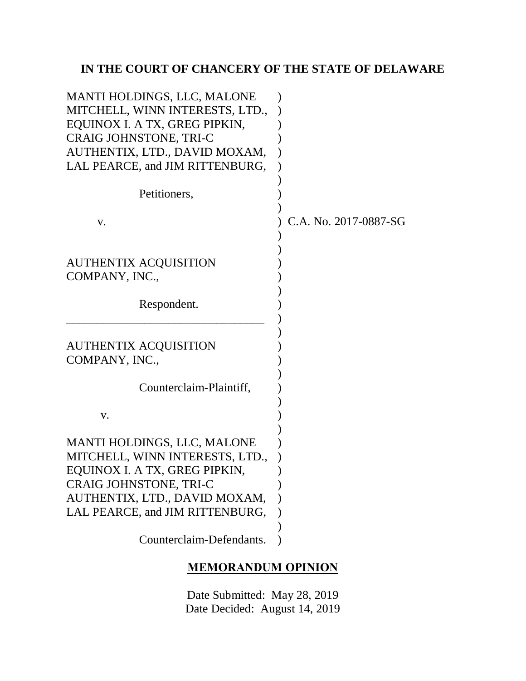# **IN THE COURT OF CHANCERY OF THE STATE OF DELAWARE**

| MANTI HOLDINGS, LLC, MALONE<br>MITCHELL, WINN INTERESTS, LTD.,<br>EQUINOX I. A TX, GREG PIPKIN,<br><b>CRAIG JOHNSTONE, TRI-C</b> |                       |
|----------------------------------------------------------------------------------------------------------------------------------|-----------------------|
| AUTHENTIX, LTD., DAVID MOXAM,<br>LAL PEARCE, and JIM RITTENBURG,                                                                 |                       |
| Petitioners,                                                                                                                     |                       |
| V.                                                                                                                               | C.A. No. 2017-0887-SG |
| AUTHENTIX ACQUISITION<br>COMPANY, INC.,                                                                                          |                       |
| Respondent.                                                                                                                      |                       |
| <b>AUTHENTIX ACQUISITION</b><br>COMPANY, INC.,                                                                                   |                       |
| Counterclaim-Plaintiff,                                                                                                          |                       |
| V.                                                                                                                               |                       |
| MANTI HOLDINGS, LLC, MALONE<br>MITCHELL, WINN INTERESTS, LTD.,                                                                   |                       |
| EQUINOX I. A TX, GREG PIPKIN                                                                                                     |                       |
| CRAIG JOHNSTONE, TRI-C<br>AUTHENTIX, LTD., DAVID MOXAM,                                                                          |                       |
| LAL PEARCE, and JIM RITTENBURG,                                                                                                  |                       |
| Counterclaim-Defendants.                                                                                                         |                       |

# **MEMORANDUM OPINION**

Date Submitted: May 28, 2019 Date Decided: August 14, 2019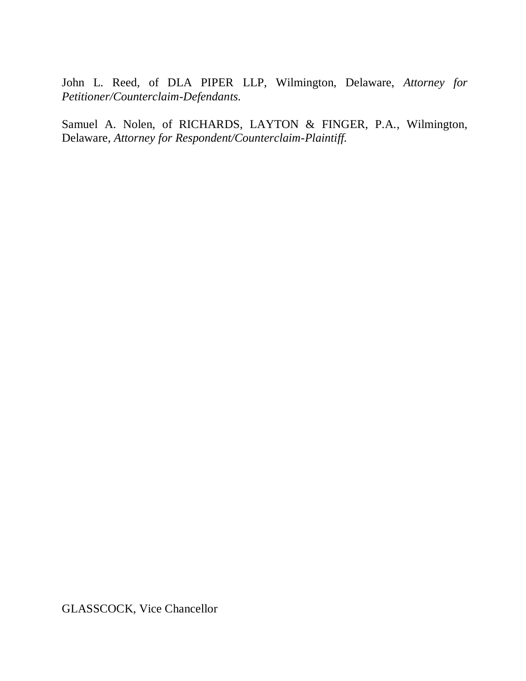John L. Reed, of DLA PIPER LLP, Wilmington, Delaware, *Attorney for Petitioner/Counterclaim-Defendants.*

Samuel A. Nolen, of RICHARDS, LAYTON & FINGER, P.A., Wilmington, Delaware, *Attorney for Respondent/Counterclaim-Plaintiff.*

GLASSCOCK, Vice Chancellor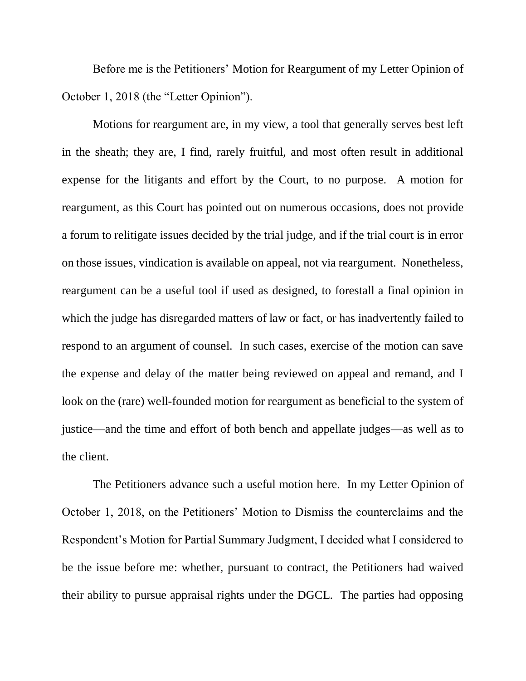Before me is the Petitioners' Motion for Reargument of my Letter Opinion of October 1, 2018 (the "Letter Opinion").

Motions for reargument are, in my view, a tool that generally serves best left in the sheath; they are, I find, rarely fruitful, and most often result in additional expense for the litigants and effort by the Court, to no purpose. A motion for reargument, as this Court has pointed out on numerous occasions, does not provide a forum to relitigate issues decided by the trial judge, and if the trial court is in error on those issues, vindication is available on appeal, not via reargument. Nonetheless, reargument can be a useful tool if used as designed, to forestall a final opinion in which the judge has disregarded matters of law or fact, or has inadvertently failed to respond to an argument of counsel. In such cases, exercise of the motion can save the expense and delay of the matter being reviewed on appeal and remand, and I look on the (rare) well-founded motion for reargument as beneficial to the system of justice—and the time and effort of both bench and appellate judges—as well as to the client.

The Petitioners advance such a useful motion here. In my Letter Opinion of October 1, 2018, on the Petitioners' Motion to Dismiss the counterclaims and the Respondent's Motion for Partial Summary Judgment, I decided what I considered to be the issue before me: whether, pursuant to contract, the Petitioners had waived their ability to pursue appraisal rights under the DGCL. The parties had opposing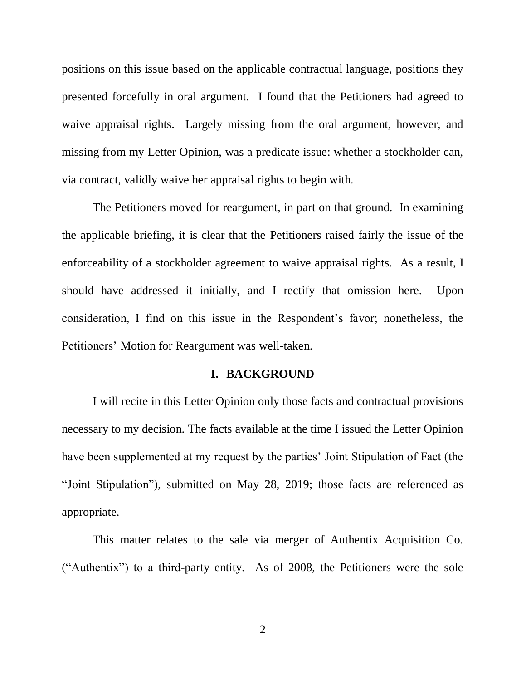positions on this issue based on the applicable contractual language, positions they presented forcefully in oral argument. I found that the Petitioners had agreed to waive appraisal rights. Largely missing from the oral argument, however, and missing from my Letter Opinion, was a predicate issue: whether a stockholder can, via contract, validly waive her appraisal rights to begin with.

The Petitioners moved for reargument, in part on that ground. In examining the applicable briefing, it is clear that the Petitioners raised fairly the issue of the enforceability of a stockholder agreement to waive appraisal rights. As a result, I should have addressed it initially, and I rectify that omission here. Upon consideration, I find on this issue in the Respondent's favor; nonetheless, the Petitioners' Motion for Reargument was well-taken.

#### **I. BACKGROUND**

I will recite in this Letter Opinion only those facts and contractual provisions necessary to my decision. The facts available at the time I issued the Letter Opinion have been supplemented at my request by the parties' Joint Stipulation of Fact (the "Joint Stipulation"), submitted on May 28, 2019; those facts are referenced as appropriate.

This matter relates to the sale via merger of Authentix Acquisition Co. ("Authentix") to a third-party entity. As of 2008, the Petitioners were the sole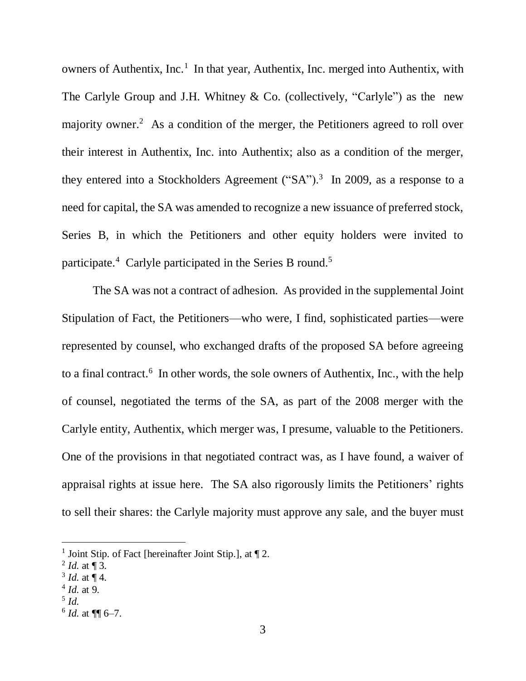owners of Authentix, Inc.<sup>1</sup> In that year, Authentix, Inc. merged into Authentix, with The Carlyle Group and J.H. Whitney & Co. (collectively, "Carlyle") as the new majority owner.<sup>2</sup> As a condition of the merger, the Petitioners agreed to roll over their interest in Authentix, Inc. into Authentix; also as a condition of the merger, they entered into a Stockholders Agreement  $("SA")$ .<sup>3</sup> In 2009, as a response to a need for capital, the SA was amended to recognize a new issuance of preferred stock, Series B, in which the Petitioners and other equity holders were invited to participate.<sup>4</sup> Carlyle participated in the Series B round.<sup>5</sup>

The SA was not a contract of adhesion. As provided in the supplemental Joint Stipulation of Fact, the Petitioners—who were, I find, sophisticated parties—were represented by counsel, who exchanged drafts of the proposed SA before agreeing to a final contract. 6 In other words, the sole owners of Authentix, Inc., with the help of counsel, negotiated the terms of the SA, as part of the 2008 merger with the Carlyle entity, Authentix, which merger was, I presume, valuable to the Petitioners. One of the provisions in that negotiated contract was, as I have found, a waiver of appraisal rights at issue here. The SA also rigorously limits the Petitioners' rights to sell their shares: the Carlyle majority must approve any sale, and the buyer must

 $3$  *Id.* at  $\P$  4.

5 *Id.*

<sup>&</sup>lt;sup>1</sup> Joint Stip. of Fact [hereinafter Joint Stip.], at  $\P$  2.

 $^{2}$  *Id.* at  $\P$  3.

<sup>4</sup> *Id.* at 9.

 $6$  *Id.* at  $\P$  6–7.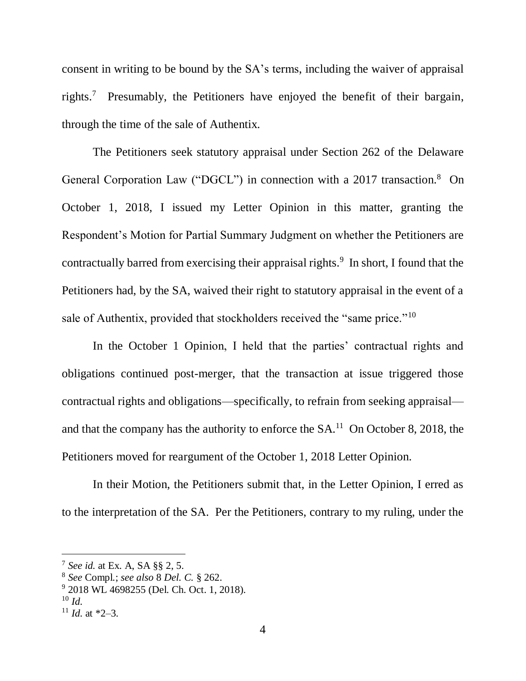consent in writing to be bound by the SA's terms, including the waiver of appraisal rights.<sup>7</sup> Presumably, the Petitioners have enjoyed the benefit of their bargain, through the time of the sale of Authentix.

The Petitioners seek statutory appraisal under Section 262 of the Delaware General Corporation Law ("DGCL") in connection with a 2017 transaction.<sup>8</sup> On October 1, 2018, I issued my Letter Opinion in this matter, granting the Respondent's Motion for Partial Summary Judgment on whether the Petitioners are contractually barred from exercising their appraisal rights.<sup>9</sup> In short, I found that the Petitioners had, by the SA, waived their right to statutory appraisal in the event of a sale of Authentix, provided that stockholders received the "same price."<sup>10</sup>

In the October 1 Opinion, I held that the parties' contractual rights and obligations continued post-merger, that the transaction at issue triggered those contractual rights and obligations—specifically, to refrain from seeking appraisal and that the company has the authority to enforce the  $SA<sup>11</sup>$  On October 8, 2018, the Petitioners moved for reargument of the October 1, 2018 Letter Opinion.

In their Motion, the Petitioners submit that, in the Letter Opinion, I erred as to the interpretation of the SA. Per the Petitioners, contrary to my ruling, under the

<sup>7</sup> *See id.* at Ex. A, SA §§ 2, 5.

<sup>8</sup> *See* Compl.; *see also* 8 *Del. C.* § 262.

<sup>9</sup> 2018 WL 4698255 (Del. Ch. Oct. 1, 2018).

<sup>10</sup> *Id.*

<sup>&</sup>lt;sup>11</sup> *Id.* at  $*2-3$ .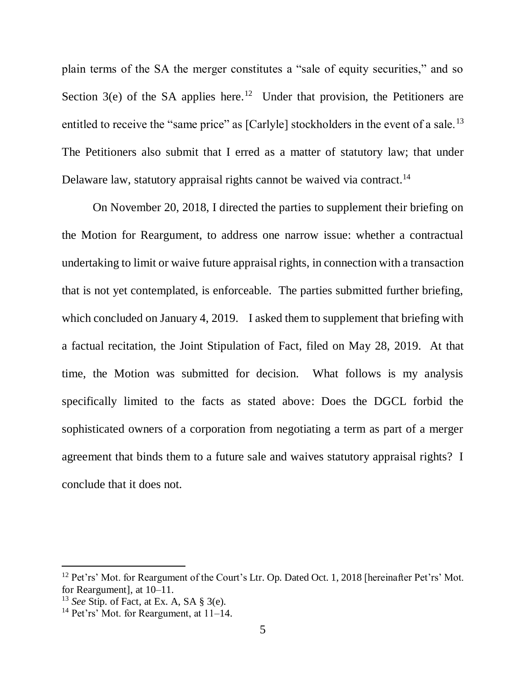plain terms of the SA the merger constitutes a "sale of equity securities," and so Section  $3(e)$  of the SA applies here.<sup>12</sup> Under that provision, the Petitioners are entitled to receive the "same price" as [Carlyle] stockholders in the event of a sale.<sup>13</sup> The Petitioners also submit that I erred as a matter of statutory law; that under Delaware law, statutory appraisal rights cannot be waived via contract.<sup>14</sup>

On November 20, 2018, I directed the parties to supplement their briefing on the Motion for Reargument, to address one narrow issue: whether a contractual undertaking to limit or waive future appraisal rights, in connection with a transaction that is not yet contemplated, is enforceable. The parties submitted further briefing, which concluded on January 4, 2019. I asked them to supplement that briefing with a factual recitation, the Joint Stipulation of Fact, filed on May 28, 2019. At that time, the Motion was submitted for decision. What follows is my analysis specifically limited to the facts as stated above: Does the DGCL forbid the sophisticated owners of a corporation from negotiating a term as part of a merger agreement that binds them to a future sale and waives statutory appraisal rights? I conclude that it does not.

<sup>&</sup>lt;sup>12</sup> Pet'rs' Mot. for Reargument of the Court's Ltr. Op. Dated Oct. 1, 2018 [hereinafter Pet'rs' Mot. for Reargument], at 10–11.

<sup>13</sup> *See* Stip. of Fact, at Ex. A, SA § 3(e).

<sup>&</sup>lt;sup>14</sup> Pet'rs' Mot. for Reargument, at  $11-14$ .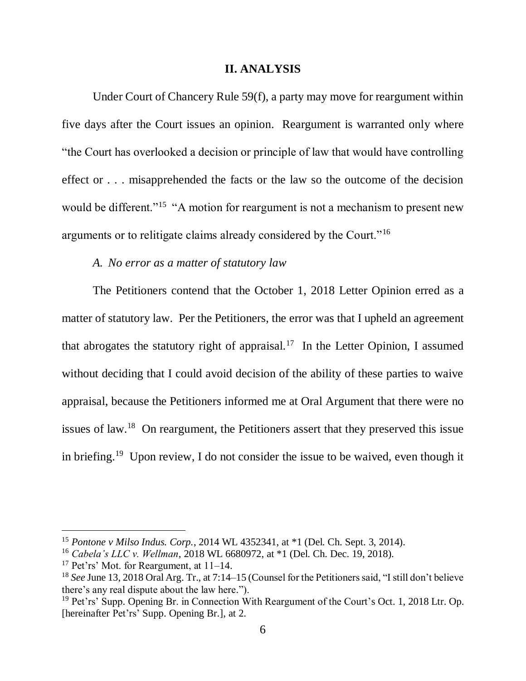#### **II. ANALYSIS**

Under Court of Chancery Rule 59(f), a party may move for reargument within five days after the Court issues an opinion. Reargument is warranted only where "the Court has overlooked a decision or principle of law that would have controlling effect or . . . misapprehended the facts or the law so the outcome of the decision would be different."<sup>15</sup> "A motion for reargument is not a mechanism to present new arguments or to relitigate claims already considered by the Court."<sup>16</sup>

### *A. No error as a matter of statutory law*

The Petitioners contend that the October 1, 2018 Letter Opinion erred as a matter of statutory law. Per the Petitioners, the error was that I upheld an agreement that abrogates the statutory right of appraisal.<sup>17</sup> In the Letter Opinion, I assumed without deciding that I could avoid decision of the ability of these parties to waive appraisal, because the Petitioners informed me at Oral Argument that there were no issues of law.<sup>18</sup> On reargument, the Petitioners assert that they preserved this issue in briefing.<sup>19</sup> Upon review, I do not consider the issue to be waived, even though it

<sup>15</sup> *Pontone v Milso Indus. Corp.*, 2014 WL 4352341, at \*1 (Del. Ch. Sept. 3, 2014).

<sup>16</sup> *Cabela's LLC v. Wellman*, 2018 WL 6680972, at \*1 (Del. Ch. Dec. 19, 2018).

<sup>&</sup>lt;sup>17</sup> Pet'rs' Mot. for Reargument, at  $11-14$ .

<sup>18</sup> *See* June 13, 2018 Oral Arg. Tr., at 7:14–15 (Counsel for the Petitioners said, "I still don't believe there's any real dispute about the law here.").

<sup>&</sup>lt;sup>19</sup> Pet'rs' Supp. Opening Br. in Connection With Reargument of the Court's Oct. 1, 2018 Ltr. Op. [hereinafter Pet'rs' Supp. Opening Br.], at 2.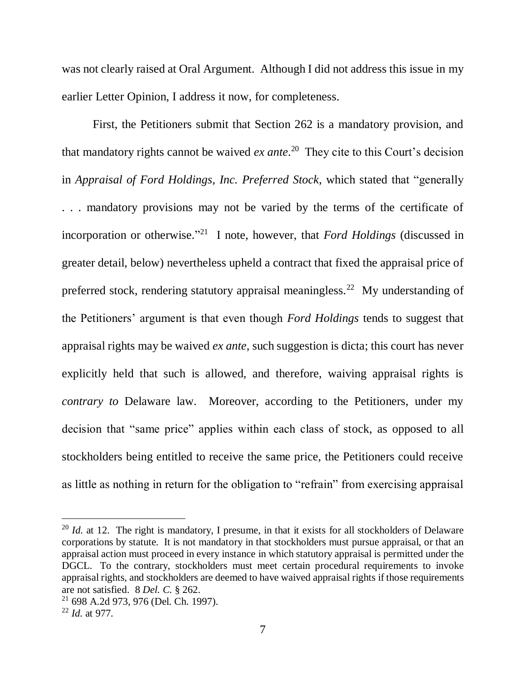was not clearly raised at Oral Argument. Although I did not address this issue in my earlier Letter Opinion, I address it now, for completeness.

First, the Petitioners submit that Section 262 is a mandatory provision, and that mandatory rights cannot be waived *ex ante*. 20 They cite to this Court's decision in *Appraisal of Ford Holdings, Inc. Preferred Stock*, which stated that "generally . . . mandatory provisions may not be varied by the terms of the certificate of incorporation or otherwise." <sup>21</sup> I note, however, that *Ford Holdings* (discussed in greater detail, below) nevertheless upheld a contract that fixed the appraisal price of preferred stock, rendering statutory appraisal meaningless.<sup>22</sup> My understanding of the Petitioners' argument is that even though *Ford Holdings* tends to suggest that appraisal rights may be waived *ex ante*, such suggestion is dicta; this court has never explicitly held that such is allowed, and therefore, waiving appraisal rights is *contrary to* Delaware law. Moreover, according to the Petitioners, under my decision that "same price" applies within each class of stock, as opposed to all stockholders being entitled to receive the same price, the Petitioners could receive as little as nothing in return for the obligation to "refrain" from exercising appraisal

<sup>&</sup>lt;sup>20</sup> *Id.* at 12. The right is mandatory, I presume, in that it exists for all stockholders of Delaware corporations by statute. It is not mandatory in that stockholders must pursue appraisal, or that an appraisal action must proceed in every instance in which statutory appraisal is permitted under the DGCL. To the contrary, stockholders must meet certain procedural requirements to invoke appraisal rights, and stockholders are deemed to have waived appraisal rights if those requirements are not satisfied. 8 *Del. C.* § 262.

<sup>21</sup> 698 A.2d 973, 976 (Del. Ch. 1997).

<sup>22</sup> *Id.* at 977.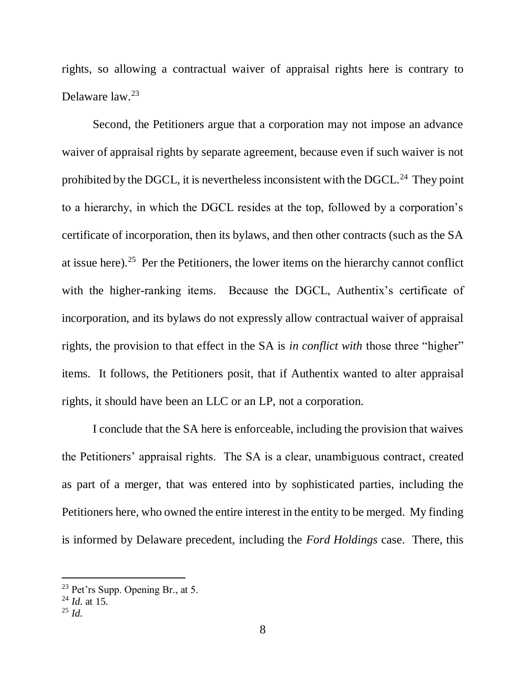rights, so allowing a contractual waiver of appraisal rights here is contrary to Delaware law.<sup>23</sup>

Second, the Petitioners argue that a corporation may not impose an advance waiver of appraisal rights by separate agreement, because even if such waiver is not prohibited by the DGCL, it is nevertheless inconsistent with the DGCL. $^{24}$  They point to a hierarchy, in which the DGCL resides at the top, followed by a corporation's certificate of incorporation, then its bylaws, and then other contracts (such as the SA at issue here).<sup>25</sup> Per the Petitioners, the lower items on the hierarchy cannot conflict with the higher-ranking items. Because the DGCL, Authentix's certificate of incorporation, and its bylaws do not expressly allow contractual waiver of appraisal rights, the provision to that effect in the SA is *in conflict with* those three "higher" items. It follows, the Petitioners posit, that if Authentix wanted to alter appraisal rights, it should have been an LLC or an LP, not a corporation.

I conclude that the SA here is enforceable, including the provision that waives the Petitioners' appraisal rights. The SA is a clear, unambiguous contract, created as part of a merger, that was entered into by sophisticated parties, including the Petitioners here, who owned the entire interest in the entity to be merged. My finding is informed by Delaware precedent, including the *Ford Holdings* case. There, this

l

<sup>23</sup> Pet'rs Supp. Opening Br., at 5.

<sup>24</sup> *Id.* at 15.

<sup>25</sup> *Id.*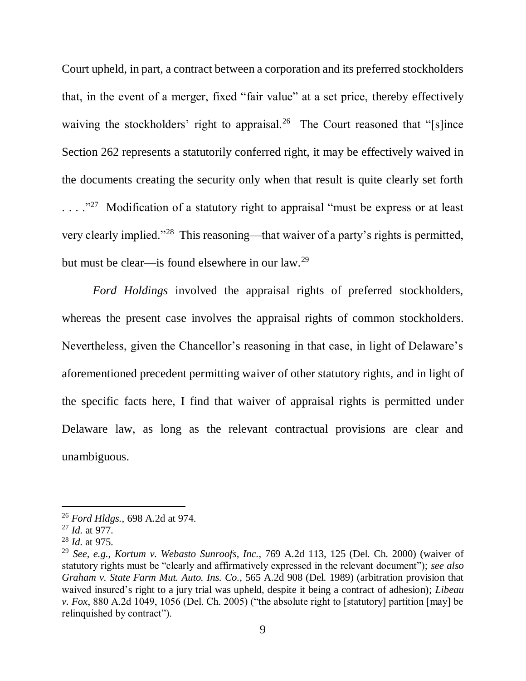Court upheld, in part, a contract between a corporation and its preferred stockholders that, in the event of a merger, fixed "fair value" at a set price, thereby effectively waiving the stockholders' right to appraisal.<sup>26</sup> The Court reasoned that "[s]ince Section 262 represents a statutorily conferred right, it may be effectively waived in the documents creating the security only when that result is quite clearly set forth  $\ldots$ ."<sup>27</sup> Modification of a statutory right to appraisal "must be express or at least". very clearly implied."<sup>28</sup> This reasoning—that waiver of a party's rights is permitted, but must be clear—is found elsewhere in our law.<sup>29</sup>

*Ford Holdings* involved the appraisal rights of preferred stockholders, whereas the present case involves the appraisal rights of common stockholders. Nevertheless, given the Chancellor's reasoning in that case, in light of Delaware's aforementioned precedent permitting waiver of other statutory rights, and in light of the specific facts here, I find that waiver of appraisal rights is permitted under Delaware law, as long as the relevant contractual provisions are clear and unambiguous.

<sup>26</sup> *Ford Hldgs.*, 698 A.2d at 974.

<sup>27</sup> *Id.* at 977.

<sup>28</sup> *Id.* at 975.

<sup>29</sup> *See, e.g.*, *Kortum v. Webasto Sunroofs, Inc.*, 769 A.2d 113, 125 (Del. Ch. 2000) (waiver of statutory rights must be "clearly and affirmatively expressed in the relevant document"); *see also Graham v. State Farm Mut. Auto. Ins. Co.*, 565 A.2d 908 (Del. 1989) (arbitration provision that waived insured's right to a jury trial was upheld, despite it being a contract of adhesion); *Libeau v. Fox*, 880 A.2d 1049, 1056 (Del. Ch. 2005) ("the absolute right to [statutory] partition [may] be relinquished by contract").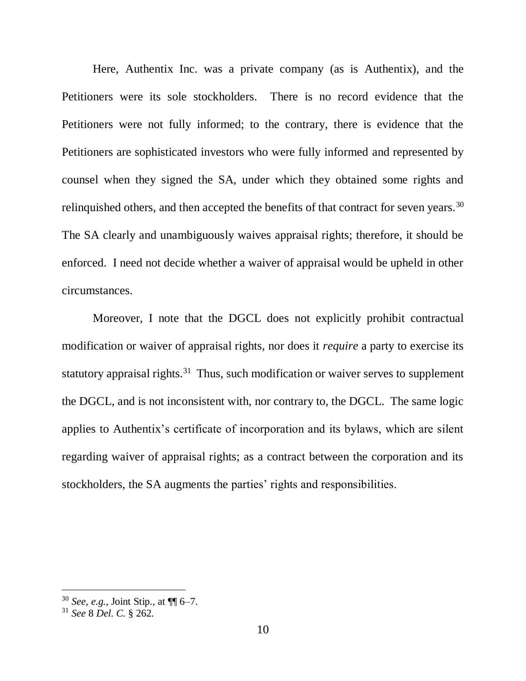Here, Authentix Inc. was a private company (as is Authentix), and the Petitioners were its sole stockholders. There is no record evidence that the Petitioners were not fully informed; to the contrary, there is evidence that the Petitioners are sophisticated investors who were fully informed and represented by counsel when they signed the SA, under which they obtained some rights and relinquished others, and then accepted the benefits of that contract for seven years.<sup>30</sup> The SA clearly and unambiguously waives appraisal rights; therefore, it should be enforced. I need not decide whether a waiver of appraisal would be upheld in other circumstances.

Moreover, I note that the DGCL does not explicitly prohibit contractual modification or waiver of appraisal rights, nor does it *require* a party to exercise its statutory appraisal rights.<sup>31</sup> Thus, such modification or waiver serves to supplement the DGCL, and is not inconsistent with, nor contrary to, the DGCL. The same logic applies to Authentix's certificate of incorporation and its bylaws, which are silent regarding waiver of appraisal rights; as a contract between the corporation and its stockholders, the SA augments the parties' rights and responsibilities.

<sup>30</sup> *See, e.g.*, Joint Stip., at ¶¶ 6–7.

<sup>31</sup> *See* 8 *Del. C.* § 262.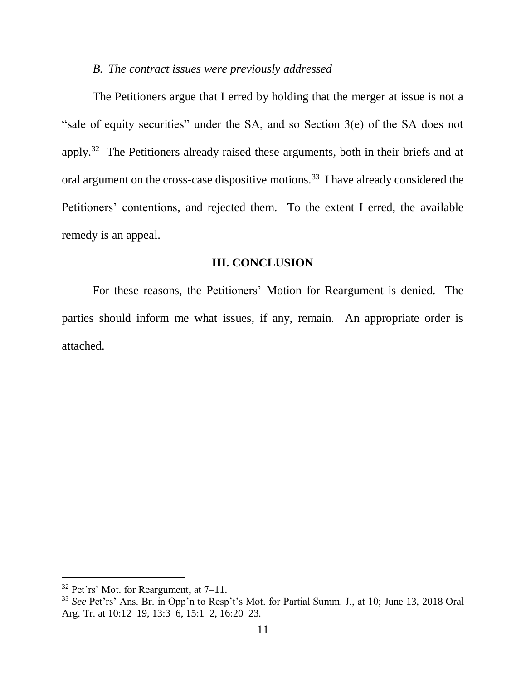### *B. The contract issues were previously addressed*

The Petitioners argue that I erred by holding that the merger at issue is not a "sale of equity securities" under the SA, and so Section 3(e) of the SA does not apply.<sup>32</sup> The Petitioners already raised these arguments, both in their briefs and at oral argument on the cross-case dispositive motions.<sup>33</sup> I have already considered the Petitioners' contentions, and rejected them. To the extent I erred, the available remedy is an appeal.

#### **III. CONCLUSION**

For these reasons, the Petitioners' Motion for Reargument is denied. The parties should inform me what issues, if any, remain. An appropriate order is attached.

l

 $32$  Pet'rs' Mot. for Reargument, at  $7-11$ .

<sup>33</sup> *See* Pet'rs' Ans. Br. in Opp'n to Resp't's Mot. for Partial Summ. J., at 10; June 13, 2018 Oral Arg. Tr. at 10:12–19, 13:3–6, 15:1–2, 16:20–23.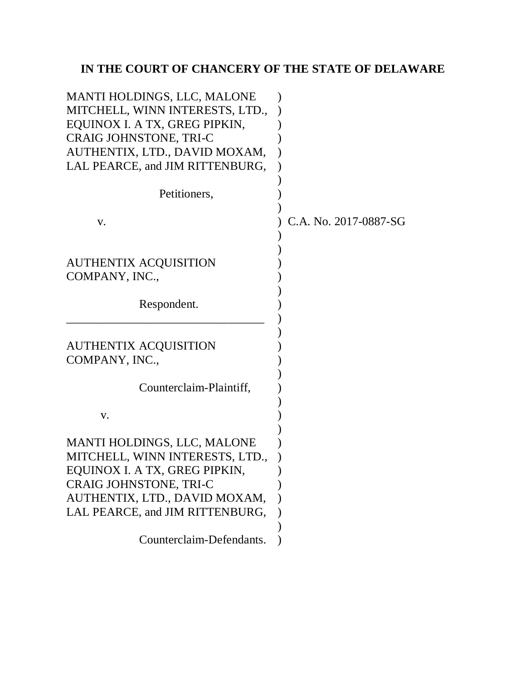# **IN THE COURT OF CHANCERY OF THE STATE OF DELAWARE**

| MANTI HOLDINGS, LLC, MALONE<br>MITCHELL, WINN INTERESTS, LTD.,<br>EQUINOX I. A TX, GREG PIPKIN,<br>CRAIG JOHNSTONE, TRI-C<br>AUTHENTIX, LTD., DAVID MOXAM,<br>LAL PEARCE, and JIM RITTENBURG, |                       |
|-----------------------------------------------------------------------------------------------------------------------------------------------------------------------------------------------|-----------------------|
| Petitioners,                                                                                                                                                                                  |                       |
| V.                                                                                                                                                                                            | C.A. No. 2017-0887-SG |
| <b>AUTHENTIX ACQUISITION</b><br>COMPANY, INC.,                                                                                                                                                |                       |
| Respondent.                                                                                                                                                                                   |                       |
| <b>AUTHENTIX ACQUISITION</b><br>COMPANY, INC.,                                                                                                                                                |                       |
| Counterclaim-Plaintiff,                                                                                                                                                                       |                       |
| V.                                                                                                                                                                                            |                       |
| MANTI HOLDINGS, LLC, MALONE<br>MITCHELL, WINN INTERESTS, LTD.,                                                                                                                                |                       |
| EOUINOX I. A TX, GREG PIPKIN                                                                                                                                                                  |                       |
| CRAIG JOHNSTONE, TRI-C<br>AUTHENTIX, LTD., DAVID MOXAM,                                                                                                                                       |                       |
| LAL PEARCE, and JIM RITTENBURG,                                                                                                                                                               |                       |
|                                                                                                                                                                                               |                       |
| Counterclaim-Defendants.                                                                                                                                                                      |                       |